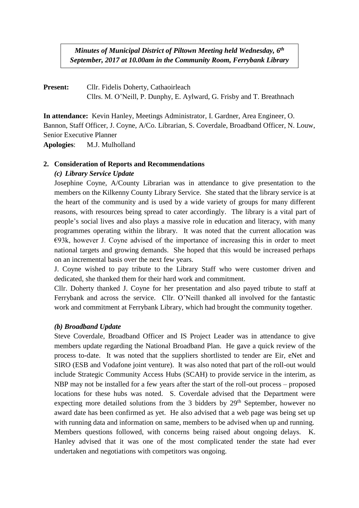*Minutes of Municipal District of Piltown Meeting held Wednesday, 6 th September, 2017 at 10.00am in the Community Room, Ferrybank Library*

**Present:** Cllr. Fidelis Doherty, Cathaoirleach Cllrs. M. O'Neill, P. Dunphy, E. Aylward, G. Frisby and T. Breathnach

**In attendance:** Kevin Hanley, Meetings Administrator, I. Gardner, Area Engineer, O. Bannon, Staff Officer, J. Coyne, A/Co. Librarian, S. Coverdale, Broadband Officer, N. Louw, Senior Executive Planner

**Apologies**: M.J. Mulholland

## **2. Consideration of Reports and Recommendations**

### *(c) Library Service Update*

Josephine Coyne, A/County Librarian was in attendance to give presentation to the members on the Kilkenny County Library Service. She stated that the library service is at the heart of the community and is used by a wide variety of groups for many different reasons, with resources being spread to cater accordingly. The library is a vital part of people's social lives and also plays a massive role in education and literacy, with many programmes operating within the library. It was noted that the current allocation was  $E93k$ , however J. Coyne advised of the importance of increasing this in order to meet national targets and growing demands. She hoped that this would be increased perhaps on an incremental basis over the next few years.

J. Coyne wished to pay tribute to the Library Staff who were customer driven and dedicated, she thanked them for their hard work and commitment.

Cllr. Doherty thanked J. Coyne for her presentation and also payed tribute to staff at Ferrybank and across the service. Cllr. O'Neill thanked all involved for the fantastic work and commitment at Ferrybank Library, which had brought the community together.

### *(b) Broadband Update*

Steve Coverdale, Broadband Officer and IS Project Leader was in attendance to give members update regarding the National Broadband Plan. He gave a quick review of the process to-date. It was noted that the suppliers shortlisted to tender are Eir, eNet and SIRO (ESB and Vodafone joint venture). It was also noted that part of the roll-out would include Strategic Community Access Hubs (SCAH) to provide service in the interim, as NBP may not be installed for a few years after the start of the roll-out process – proposed locations for these hubs was noted. S. Coverdale advised that the Department were expecting more detailed solutions from the 3 bidders by  $29<sup>th</sup>$  September, however no award date has been confirmed as yet. He also advised that a web page was being set up with running data and information on same, members to be advised when up and running. Members questions followed, with concerns being raised about ongoing delays. K. Hanley advised that it was one of the most complicated tender the state had ever undertaken and negotiations with competitors was ongoing.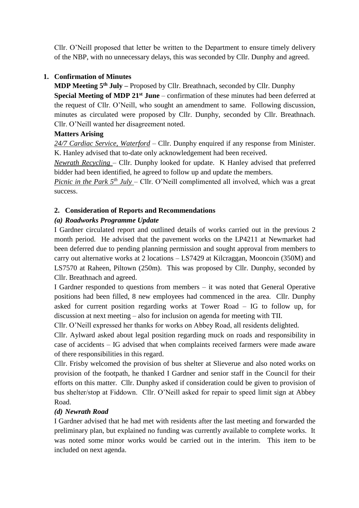Cllr. O'Neill proposed that letter be written to the Department to ensure timely delivery of the NBP, with no unnecessary delays, this was seconded by Cllr. Dunphy and agreed.

## **1. Confirmation of Minutes**

**MDP Meeting 5 th July –** Proposed by Cllr. Breathnach, seconded by Cllr. Dunphy **Special Meeting of MDP 21st June** – confirmation of these minutes had been deferred at the request of Cllr. O'Neill, who sought an amendment to same. Following discussion, minutes as circulated were proposed by Cllr. Dunphy, seconded by Cllr. Breathnach. Cllr. O'Neill wanted her disagreement noted.

## **Matters Arising**

*24/7 Cardiac Service, Waterford* – Cllr. Dunphy enquired if any response from Minister. K. Hanley advised that to-date only acknowledgement had been received.

*Newrath Recycling* – Cllr. Dunphy looked for update. K Hanley advised that preferred bidder had been identified, he agreed to follow up and update the members.

*Picnic in the Park 5<sup>th</sup> July – Cllr. O'Neill complimented all involved, which was a great* success.

## **2. Consideration of Reports and Recommendations**

## *(a) Roadworks Programme Update*

I Gardner circulated report and outlined details of works carried out in the previous 2 month period. He advised that the pavement works on the LP4211 at Newmarket had been deferred due to pending planning permission and sought approval from members to carry out alternative works at 2 locations – LS7429 at Kilcraggan, Mooncoin (350M) and LS7570 at Raheen, Piltown (250m). This was proposed by Cllr. Dunphy, seconded by Cllr. Breathnach and agreed.

I Gardner responded to questions from members – it was noted that General Operative positions had been filled, 8 new employees had commenced in the area. Cllr. Dunphy asked for current position regarding works at Tower Road – IG to follow up, for discussion at next meeting – also for inclusion on agenda for meeting with TII.

Cllr. O'Neill expressed her thanks for works on Abbey Road, all residents delighted.

Cllr. Aylward asked about legal position regarding muck on roads and responsibility in case of accidents – IG advised that when complaints received farmers were made aware of there responsibilities in this regard.

Cllr. Frisby welcomed the provision of bus shelter at Slieverue and also noted works on provision of the footpath, he thanked I Gardner and senior staff in the Council for their efforts on this matter. Cllr. Dunphy asked if consideration could be given to provision of bus shelter/stop at Fiddown. Cllr. O'Neill asked for repair to speed limit sign at Abbey Road.

## *(d) Newrath Road*

I Gardner advised that he had met with residents after the last meeting and forwarded the preliminary plan, but explained no funding was currently available to complete works. It was noted some minor works would be carried out in the interim. This item to be included on next agenda.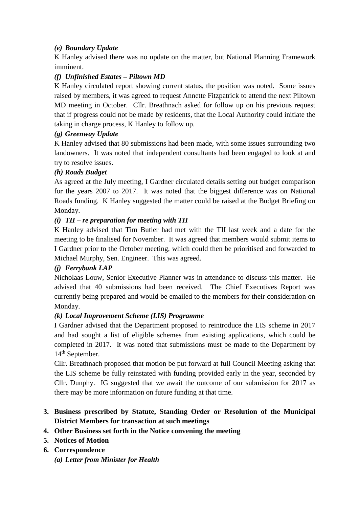## *(e) Boundary Update*

K Hanley advised there was no update on the matter, but National Planning Framework imminent.

# *(f) Unfinished Estates – Piltown MD*

K Hanley circulated report showing current status, the position was noted. Some issues raised by members, it was agreed to request Annette Fitzpatrick to attend the next Piltown MD meeting in October. Cllr. Breathnach asked for follow up on his previous request that if progress could not be made by residents, that the Local Authority could initiate the taking in charge process, K Hanley to follow up.

# *(g) Greenway Update*

K Hanley advised that 80 submissions had been made, with some issues surrounding two landowners. It was noted that independent consultants had been engaged to look at and try to resolve issues.

# *(h) Roads Budget*

As agreed at the July meeting, I Gardner circulated details setting out budget comparison for the years 2007 to 2017. It was noted that the biggest difference was on National Roads funding. K Hanley suggested the matter could be raised at the Budget Briefing on Monday.

## *(i) TII – re preparation for meeting with TII*

K Hanley advised that Tim Butler had met with the TII last week and a date for the meeting to be finalised for November. It was agreed that members would submit items to I Gardner prior to the October meeting, which could then be prioritised and forwarded to Michael Murphy, Sen. Engineer. This was agreed.

## *(j) Ferrybank LAP*

Nicholaas Louw, Senior Executive Planner was in attendance to discuss this matter. He advised that 40 submissions had been received. The Chief Executives Report was currently being prepared and would be emailed to the members for their consideration on Monday.

## *(k) Local Improvement Scheme (LIS) Programme*

I Gardner advised that the Department proposed to reintroduce the LIS scheme in 2017 and had sought a list of eligible schemes from existing applications, which could be completed in 2017. It was noted that submissions must be made to the Department by 14th September.

Cllr. Breathnach proposed that motion be put forward at full Council Meeting asking that the LIS scheme be fully reinstated with funding provided early in the year, seconded by Cllr. Dunphy. IG suggested that we await the outcome of our submission for 2017 as there may be more information on future funding at that time.

# **3. Business prescribed by Statute, Standing Order or Resolution of the Municipal District Members for transaction at such meetings**

## **4. Other Business set forth in the Notice convening the meeting**

- **5. Notices of Motion**
- **6. Correspondence** *(a) Letter from Minister for Health*